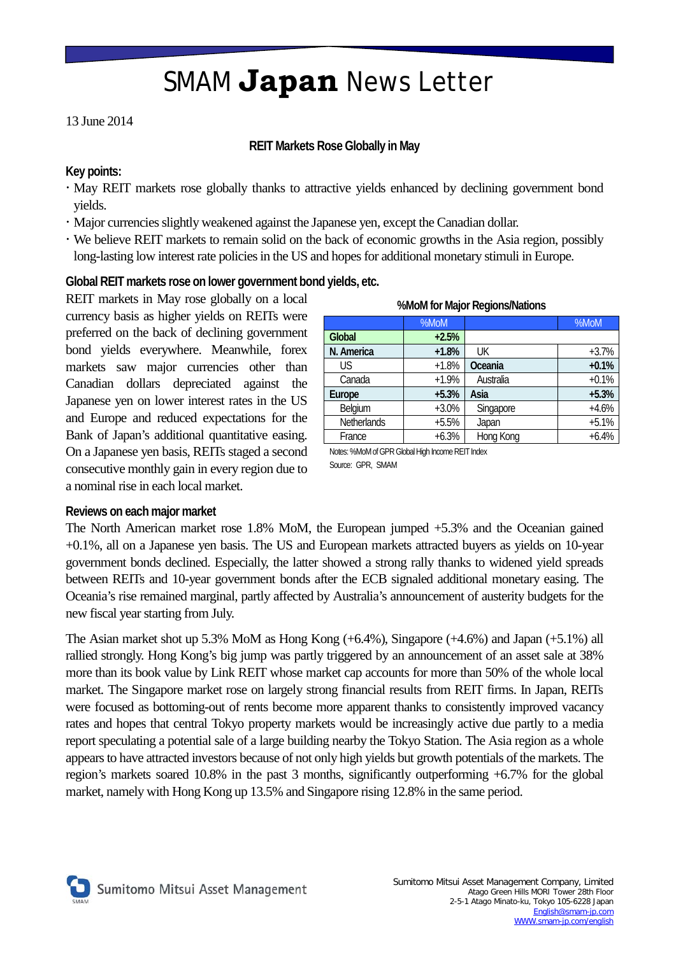## SMAM **Japan** News Letter

### 13 June 2014

#### **REIT Markets Rose Globally in May**

### **Key points:**

- May REIT markets rose globally thanks to attractive yields enhanced by declining government bond yields.
- Major currencies slightly weakened against the Japanese yen, except the Canadian dollar.
- We believe REIT markets to remain solid on the back of economic growths in the Asia region, possibly long-lasting low interest rate policies in the US and hopes for additional monetary stimuli in Europe.

### **Global REIT markets rose on lower government bond yields, etc.**

REIT markets in May rose globally on a local currency basis as higher yields on REITs were preferred on the back of declining government bond yields everywhere. Meanwhile, forex markets saw major currencies other than Canadian dollars depreciated against the Japanese yen on lower interest rates in the US and Europe and reduced expectations for the Bank of Japan's additional quantitative easing. On a Japanese yen basis, REITs staged a second consecutive monthly gain in every region due to a nominal rise in each local market.

| . <u>. .</u>       |         |           |         |
|--------------------|---------|-----------|---------|
|                    | %MoM    |           | %MoM    |
| Global             | $+2.5%$ |           |         |
| N. America         | $+1.8%$ | UK        | $+3.7%$ |
| <b>US</b>          | $+1.8%$ | Oceania   | $+0.1%$ |
| Canada             | $+1.9%$ | Australia | $+0.1%$ |
| Europe             | $+5.3%$ | Asia      | $+5.3%$ |
| Belgium            | $+3.0%$ | Singapore | $+4.6%$ |
| <b>Netherlands</b> | $+5.5%$ | Japan     | $+5.1%$ |
| France             | $+6.3%$ | Hong Kong | $+6.4%$ |

#### **%MoM for Major Regions/Nations**

Notes: %MoM of GPR Global High Income REIT Index Source: GPR, SMAM

#### **Reviews on each major market**

The North American market rose 1.8% MoM, the European jumped +5.3% and the Oceanian gained +0.1%, all on a Japanese yen basis. The US and European markets attracted buyers as yields on 10-year government bonds declined. Especially, the latter showed a strong rally thanks to widened yield spreads between REITs and 10-year government bonds after the ECB signaled additional monetary easing. The Oceania's rise remained marginal, partly affected by Australia's announcement of austerity budgets for the new fiscal year starting from July.

The Asian market shot up 5.3% MoM as Hong Kong (+6.4%), Singapore (+4.6%) and Japan (+5.1%) all rallied strongly. Hong Kong's big jump was partly triggered by an announcement of an asset sale at 38% more than its book value by Link REIT whose market cap accounts for more than 50% of the whole local market. The Singapore market rose on largely strong financial results from REIT firms. In Japan, REITs were focused as bottoming-out of rents become more apparent thanks to consistently improved vacancy rates and hopes that central Tokyo property markets would be increasingly active due partly to a media report speculating a potential sale of a large building nearby the Tokyo Station. The Asia region as a whole appears to have attracted investors because of not only high yields but growth potentials of the markets. The region's markets soared 10.8% in the past 3 months, significantly outperforming +6.7% for the global market, namely with Hong Kong up 13.5% and Singapore rising 12.8% in the same period.